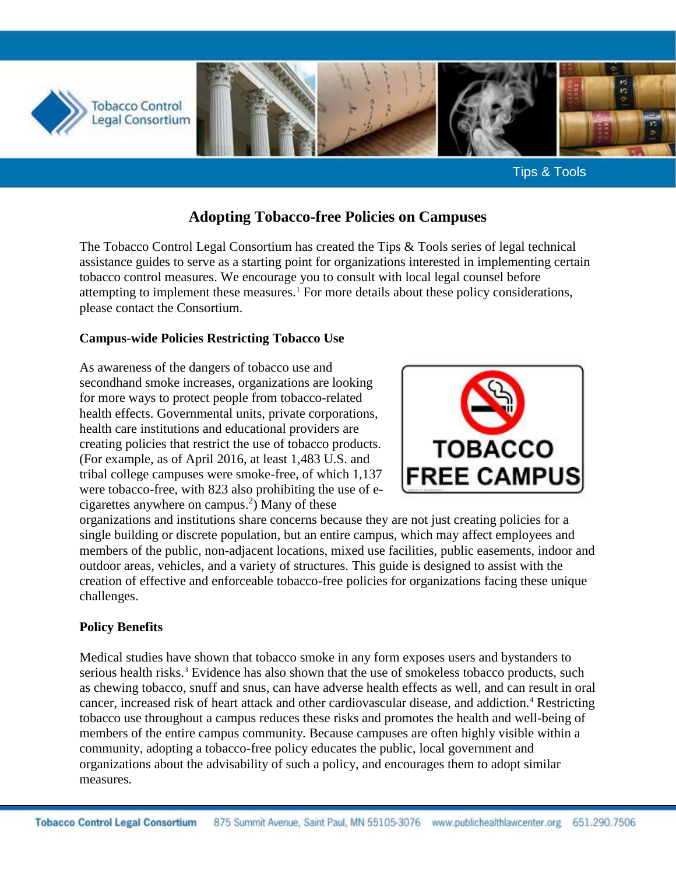

# **Adopting Tobacco-free Policies on Campuses**

The Tobacco Control Legal Consortium has created the Tips & Tools series of legal technical assistance guides to serve as a starting point for organizations interested in implementing certain tobacco control measures. We encourage you to consult with local legal counsel before attempting to implement these measures.<sup>1</sup> For more details about these policy considerations, please contact the Consortium.

### **Campus-wide Policies Restricting Tobacco Use**

As awareness of the dangers of tobacco use and secondhand smoke increases, organizations are looking for more ways to protect people from tobacco-related health effects. Governmental units, private corporations, health care institutions and educational providers are creating policies that restrict the use of tobacco products. (For example, as of April 2016, at least 1,483 U.S. and tribal college campuses were smoke-free, of which 1,137 were tobacco-free, with 823 also prohibiting the use of ecigarettes anywhere on campus. 2 ) Many of these



organizations and institutions share concerns because they are not just creating policies for a single building or discrete population, but an entire campus, which may affect employees and members of the public, non-adjacent locations, mixed use facilities, public easements, indoor and outdoor areas, vehicles, and a variety of structures. This guide is designed to assist with the creation of effective and enforceable tobacco-free policies for organizations facing these unique challenges.

### **Policy Benefits**

Medical studies have shown that tobacco smoke in any form exposes users and bystanders to serious health risks.<sup>3</sup> Evidence has also shown that the use of smokeless tobacco products, such as chewing tobacco, snuff and snus, can have adverse health effects as well, and can result in oral cancer, increased risk of heart attack and other cardiovascular disease, and addiction.<sup>4</sup> Restricting tobacco use throughout a campus reduces these risks and promotes the health and well-being of members of the entire campus community. Because campuses are often highly visible within a community, adopting a tobacco-free policy educates the public, local government and organizations about the advisability of such a policy, and encourages them to adopt similar measures.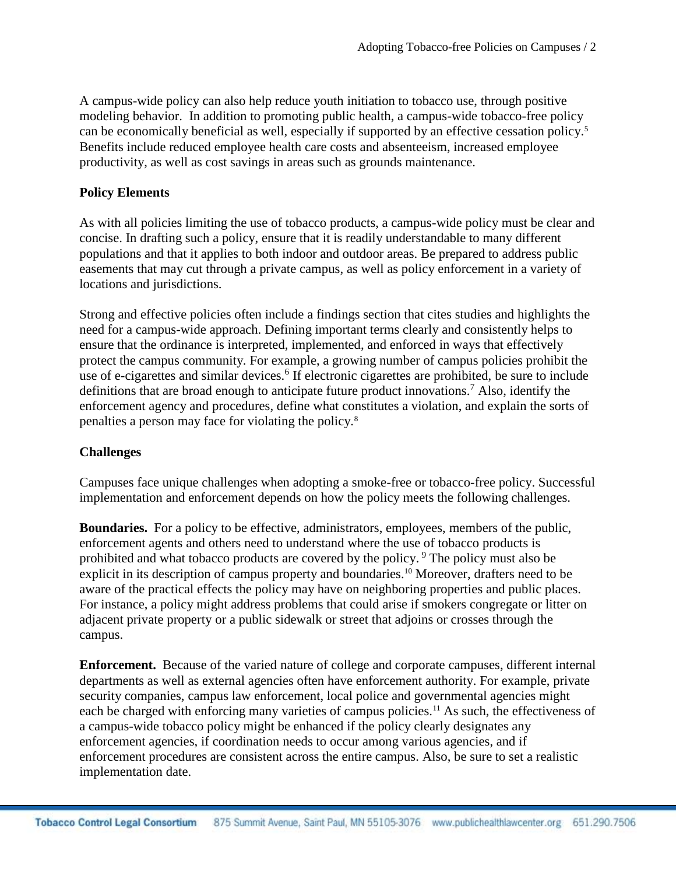A campus-wide policy can also help reduce youth initiation to tobacco use, through positive modeling behavior. In addition to promoting public health, a campus-wide tobacco-free policy can be economically beneficial as well, especially if supported by an effective cessation policy.<sup>5</sup> Benefits include reduced employee health care costs and absenteeism, increased employee productivity, as well as cost savings in areas such as grounds maintenance.

### **Policy Elements**

As with all policies limiting the use of tobacco products, a campus-wide policy must be clear and concise. In drafting such a policy, ensure that it is readily understandable to many different populations and that it applies to both indoor and outdoor areas. Be prepared to address public easements that may cut through a private campus, as well as policy enforcement in a variety of locations and jurisdictions.

Strong and effective policies often include a findings section that cites studies and highlights the need for a campus-wide approach. Defining important terms clearly and consistently helps to ensure that the ordinance is interpreted, implemented, and enforced in ways that effectively protect the campus community. For example, a growing number of campus policies prohibit the use of e-cigarettes and similar devices.<sup>6</sup> If electronic cigarettes are prohibited, be sure to include definitions that are broad enough to anticipate future product innovations.<sup>7</sup> Also, identify the enforcement agency and procedures, define what constitutes a violation, and explain the sorts of penalties a person may face for violating the policy.<sup>8</sup>

## **Challenges**

Campuses face unique challenges when adopting a smoke-free or tobacco-free policy. Successful implementation and enforcement depends on how the policy meets the following challenges.

**Boundaries.** For a policy to be effective, administrators, employees, members of the public, enforcement agents and others need to understand where the use of tobacco products is prohibited and what tobacco products are covered by the policy.<sup>9</sup> The policy must also be explicit in its description of campus property and boundaries.<sup>10</sup> Moreover, drafters need to be aware of the practical effects the policy may have on neighboring properties and public places. For instance, a policy might address problems that could arise if smokers congregate or litter on adjacent private property or a public sidewalk or street that adjoins or crosses through the campus.

**Enforcement.** Because of the varied nature of college and corporate campuses, different internal departments as well as external agencies often have enforcement authority. For example, private security companies, campus law enforcement, local police and governmental agencies might each be charged with enforcing many varieties of campus policies.<sup>11</sup> As such, the effectiveness of a campus-wide tobacco policy might be enhanced if the policy clearly designates any enforcement agencies, if coordination needs to occur among various agencies, and if enforcement procedures are consistent across the entire campus. Also, be sure to set a realistic implementation date.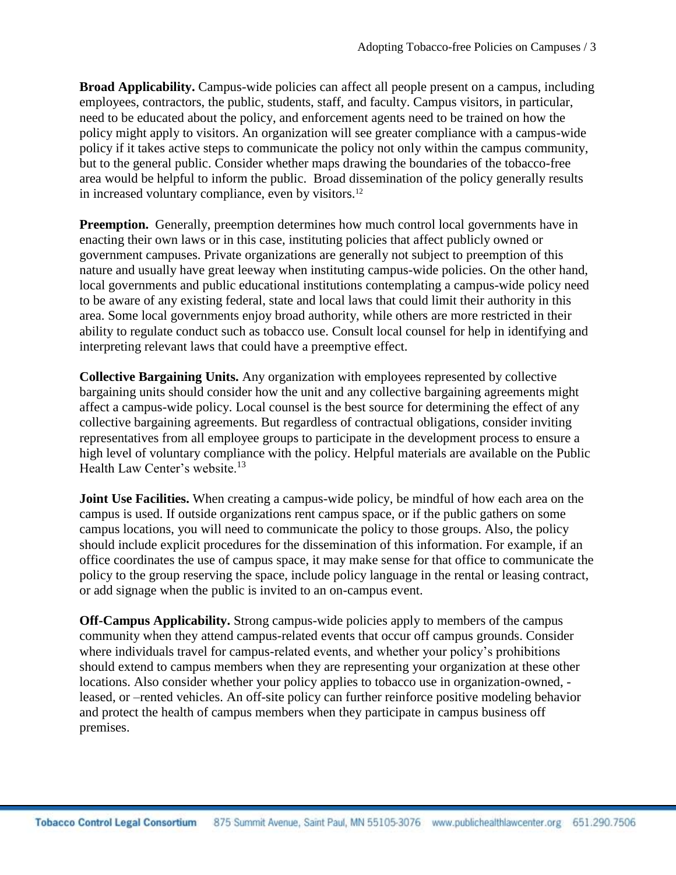**Broad Applicability.** Campus-wide policies can affect all people present on a campus, including employees, contractors, the public, students, staff, and faculty. Campus visitors, in particular, need to be educated about the policy, and enforcement agents need to be trained on how the policy might apply to visitors. An organization will see greater compliance with a campus-wide policy if it takes active steps to communicate the policy not only within the campus community, but to the general public. Consider whether maps drawing the boundaries of the tobacco-free area would be helpful to inform the public. Broad dissemination of the policy generally results in increased voluntary compliance, even by visitors.<sup>12</sup>

**Preemption.** Generally, preemption determines how much control local governments have in enacting their own laws or in this case, instituting policies that affect publicly owned or government campuses. Private organizations are generally not subject to preemption of this nature and usually have great leeway when instituting campus-wide policies. On the other hand, local governments and public educational institutions contemplating a campus-wide policy need to be aware of any existing federal, state and local laws that could limit their authority in this area. Some local governments enjoy broad authority, while others are more restricted in their ability to regulate conduct such as tobacco use. Consult local counsel for help in identifying and interpreting relevant laws that could have a preemptive effect.

**Collective Bargaining Units.** Any organization with employees represented by collective bargaining units should consider how the unit and any collective bargaining agreements might affect a campus-wide policy. Local counsel is the best source for determining the effect of any collective bargaining agreements. But regardless of contractual obligations, consider inviting representatives from all employee groups to participate in the development process to ensure a high level of voluntary compliance with the policy. Helpful materials are available on the Public Health Law Center's website.<sup>13</sup>

**Joint Use Facilities.** When creating a campus-wide policy, be mindful of how each area on the campus is used. If outside organizations rent campus space, or if the public gathers on some campus locations, you will need to communicate the policy to those groups. Also, the policy should include explicit procedures for the dissemination of this information. For example, if an office coordinates the use of campus space, it may make sense for that office to communicate the policy to the group reserving the space, include policy language in the rental or leasing contract, or add signage when the public is invited to an on-campus event.

**Off-Campus Applicability.** Strong campus-wide policies apply to members of the campus community when they attend campus-related events that occur off campus grounds. Consider where individuals travel for campus-related events, and whether your policy's prohibitions should extend to campus members when they are representing your organization at these other locations. Also consider whether your policy applies to tobacco use in organization-owned, leased, or –rented vehicles. An off-site policy can further reinforce positive modeling behavior and protect the health of campus members when they participate in campus business off premises.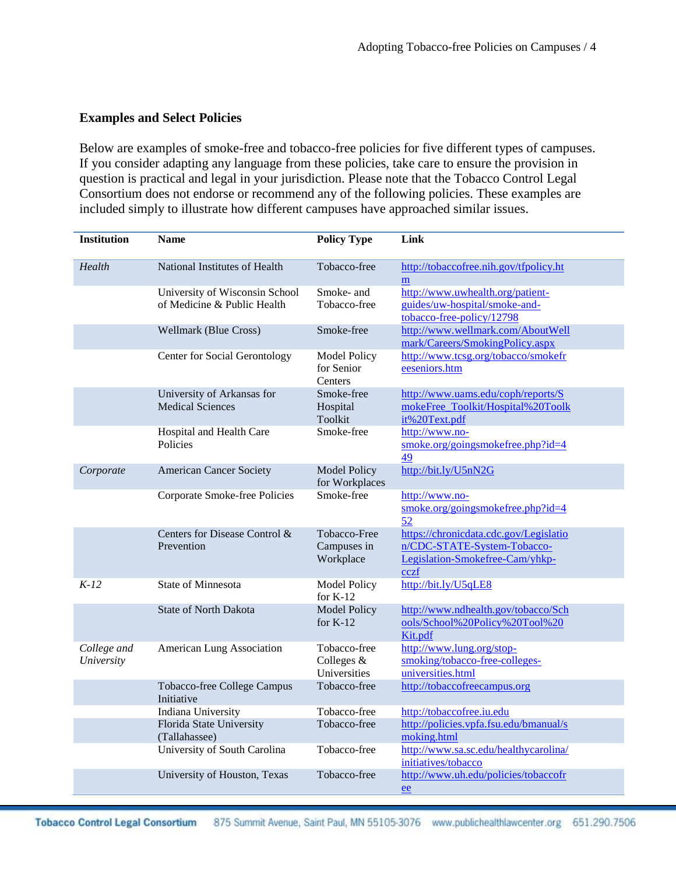### **Examples and Select Policies**

Below are examples of smoke-free and tobacco-free policies for five different types of campuses. If you consider adapting any language from these policies, take care to ensure the provision in question is practical and legal in your jurisdiction. Please note that the Tobacco Control Legal Consortium does not endorse or recommend any of the following policies. These examples are included simply to illustrate how different campuses have approached similar issues.

| <b>Institution</b>        | <b>Name</b>                                                   | <b>Policy Type</b>                           | Link                                                                                                             |
|---------------------------|---------------------------------------------------------------|----------------------------------------------|------------------------------------------------------------------------------------------------------------------|
| Health                    | National Institutes of Health                                 | Tobacco-free                                 | http://tobaccofree.nih.gov/tfpolicy.ht<br>m                                                                      |
|                           | University of Wisconsin School<br>of Medicine & Public Health | Smoke- and<br>Tobacco-free                   | http://www.uwhealth.org/patient-<br>guides/uw-hospital/smoke-and-<br>tobacco-free-policy/12798                   |
|                           | <b>Wellmark (Blue Cross)</b>                                  | Smoke-free                                   | http://www.wellmark.com/AboutWell<br>mark/Careers/SmokingPolicy.aspx                                             |
|                           | <b>Center for Social Gerontology</b>                          | <b>Model Policy</b><br>for Senior<br>Centers | http://www.tcsg.org/tobacco/smokefr<br>eeseniors.htm                                                             |
|                           | University of Arkansas for<br><b>Medical Sciences</b>         | Smoke-free<br>Hospital<br>Toolkit            | http://www.uams.edu/coph/reports/S<br>mokeFree_Toolkit/Hospital%20Toolk<br>it%20Text.pdf                         |
|                           | Hospital and Health Care<br>Policies                          | Smoke-free                                   | http://www.no-<br>smoke.org/goingsmokefree.php?id=4<br>49                                                        |
| Corporate                 | <b>American Cancer Society</b>                                | <b>Model Policy</b><br>for Workplaces        | http://bit.ly/U5nN2G                                                                                             |
|                           | Corporate Smoke-free Policies                                 | Smoke-free                                   | http://www.no-<br>smoke.org/goingsmokefree.php?id=4<br>52                                                        |
|                           | Centers for Disease Control &<br>Prevention                   | Tobacco-Free<br>Campuses in<br>Workplace     | https://chronicdata.cdc.gov/Legislatio<br>n/CDC-STATE-System-Tobacco-<br>Legislation-Smokefree-Cam/yhkp-<br>cczf |
| $K-12$                    | <b>State of Minnesota</b>                                     | <b>Model Policy</b><br>for $K-12$            | http://bit.ly/U5qLE8                                                                                             |
|                           | <b>State of North Dakota</b>                                  | <b>Model Policy</b><br>for $K-12$            | http://www.ndhealth.gov/tobacco/Sch<br>ools/School%20Policy%20Tool%20<br>Kit.pdf                                 |
| College and<br>University | American Lung Association                                     | Tobacco-free<br>Colleges &<br>Universities   | http://www.lung.org/stop-<br>smoking/tobacco-free-colleges-<br>universities.html                                 |
|                           | Tobacco-free College Campus<br>Initiative                     | Tobacco-free                                 | http://tobaccofreecampus.org                                                                                     |
|                           | Indiana University                                            | Tobacco-free                                 | http://tobaccofree.iu.edu                                                                                        |
|                           | Florida State University<br>(Tallahassee)                     | Tobacco-free                                 | http://policies.vpfa.fsu.edu/bmanual/s<br>moking.html                                                            |
|                           | University of South Carolina                                  | Tobacco-free                                 | http://www.sa.sc.edu/healthycarolina/<br>initiatives/tobacco                                                     |
|                           | University of Houston, Texas                                  | Tobacco-free                                 | http://www.uh.edu/policies/tobaccofr<br>ee                                                                       |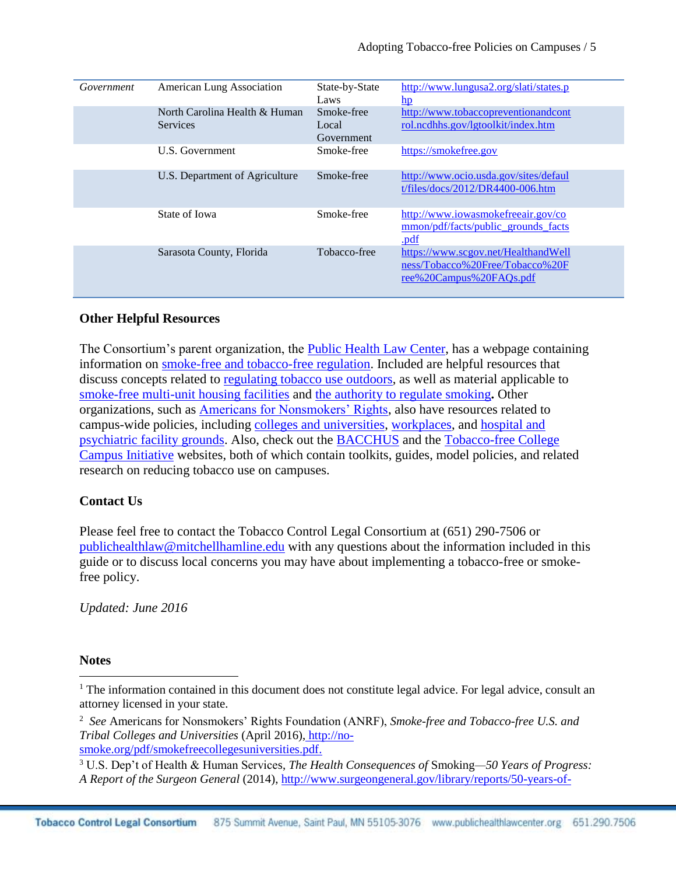| Government | American Lung Association                        | State-by-State<br>Laws            | http://www.lungusa2.org/slati/states.p<br>$\mathbf{hp}$                                           |
|------------|--------------------------------------------------|-----------------------------------|---------------------------------------------------------------------------------------------------|
|            | North Carolina Health & Human<br><b>Services</b> | Smoke-free<br>Local<br>Government | http://www.tobaccopreventionandcont<br>rol.ncdhhs.gov/lgtoolkit/index.htm                         |
|            | U.S. Government                                  | Smoke-free                        | https://smokefree.gov                                                                             |
|            | U.S. Department of Agriculture                   | Smoke-free                        | http://www.ocio.usda.gov/sites/defaul<br>t/files/docs/2012/DR4400-006.htm                         |
|            | State of Iowa                                    | Smoke-free                        | http://www.iowasmokefreeair.gov/co<br>mmon/pdf/facts/public grounds facts<br>.pdf                 |
|            | Sarasota County, Florida                         | Tobacco-free                      | https://www.scgov.net/HealthandWell<br>ness/Tobacco%20Free/Tobacco%20F<br>ree%20Campus%20FAQs.pdf |

### **Other Helpful Resources**

The Consortium's parent organization, the [Public Health Law Center,](http://publichealthlawcenter.org/) has a webpage containing information on smoke-free [and tobacco-free](http://publichealthlawcenter.org/topics/tobacco-control/smoke-free-tobacco-free-places/housing) regulation. Included are helpful resources that discuss concepts related to [regulating tobacco use outdoors,](http://www.publichealthlawcenter.org/sites/default/files/resources/regulating-outdoor-tobacco-use-2016.pdf) as well as material applicable to [smoke-free multi-unit housing facilities](http://publichealthlawcenter.org/topics/tobacco-control/smoke-free-tobacco-free-places/housing) and [the authority to regulate smoking](http://www.publichealthlawcenter.org/sites/default/files/resources/tclc-syn-authority-2009_0.pdf)**.** Other organizations, such as [Americans for Nonsmokers' Rights,](http://www.no-smoke.org/) also have resources related to campus-wide policies, including [colleges and universities,](http://www.no-smoke.org/goingsmokefree.php?id=447) [workplaces,](http://www.no-smoke.org/goingsmokefree.php?id=452) and [hospital and](http://www.no-smoke.org/goingsmokefree.php?id=449)  [psychiatric facility grounds.](http://www.no-smoke.org/goingsmokefree.php?id=449) Also, check out the [BACCHUS](http://www.tobaccofreeu.org/) and the [Tobacco-free College](http://tobaccofreecampus.org/)  [Campus Initiative](http://tobaccofreecampus.org/) websites, both of which contain toolkits, guides, model policies, and related research on reducing tobacco use on campuses.

### **Contact Us**

Please feel free to contact the Tobacco Control Legal Consortium at (651) 290-7506 or [publichealthlaw@mitchellhamline.edu](mailto:publichealthlaw@mitchellhamline.edu) with any questions about the information included in this guide or to discuss local concerns you may have about implementing a tobacco-free or smokefree policy.

*Updated: June 2016*

#### **Notes**

 $\overline{\phantom{a}}$ 

 $1$  The information contained in this document does not constitute legal advice. For legal advice, consult an attorney licensed in your state.

<sup>2</sup> *See* Americans for Nonsmokers' Rights Foundation (ANRF), *Smoke-free and Tobacco-free U.S. and Tribal Colleges and Universities* (April 2016), [http://no](http://no-smoke.org/pdf/smokefreecollegesuniversities.pdf)[smoke.org/pdf/smokefreecollegesuniversities.pdf.](http://no-smoke.org/pdf/smokefreecollegesuniversities.pdf)

<sup>3</sup> U.S. Dep't of Health & Human Services, *The Health Consequences of* Smoking*—50 Years of Progress: A Report of the Surgeon General* (2014)[, http://www.surgeongeneral.gov/library/reports/50-years-of-](http://www.surgeongeneral.gov/library/reports/50-years-of-progress/index.html)